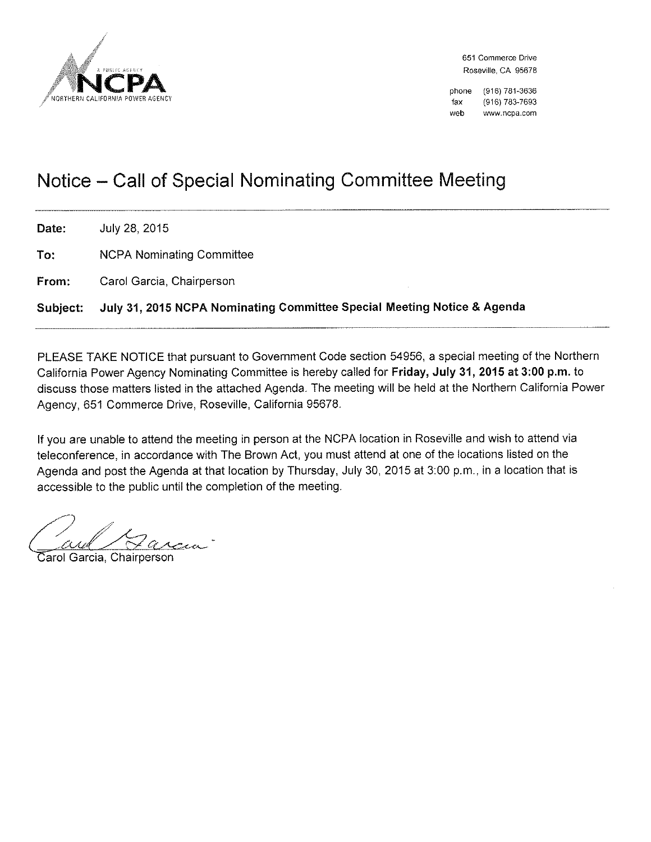

651 Commerce Drive Roseville, CA 95678

(916) 781-3636 phone (916) 783-7693 fax web www.ncpa.com

# Notice – Call of Special Nominating Committee Meeting

Date: July 28, 2015 To: **NCPA Nominating Committee** 

Carol Garcia, Chairperson From:

July 31, 2015 NCPA Nominating Committee Special Meeting Notice & Agenda Subject:

PLEASE TAKE NOTICE that pursuant to Government Code section 54956, a special meeting of the Northern California Power Agency Nominating Committee is hereby called for Friday, July 31, 2015 at 3:00 p.m. to discuss those matters listed in the attached Agenda. The meeting will be held at the Northern California Power Agency, 651 Commerce Drive, Roseville, California 95678.

If you are unable to attend the meeting in person at the NCPA location in Roseville and wish to attend via teleconference, in accordance with The Brown Act, you must attend at one of the locations listed on the Agenda and post the Agenda at that location by Thursday, July 30, 2015 at 3:00 p.m., in a location that is accessible to the public until the completion of the meeting.

Carol Garcia, Chairperson